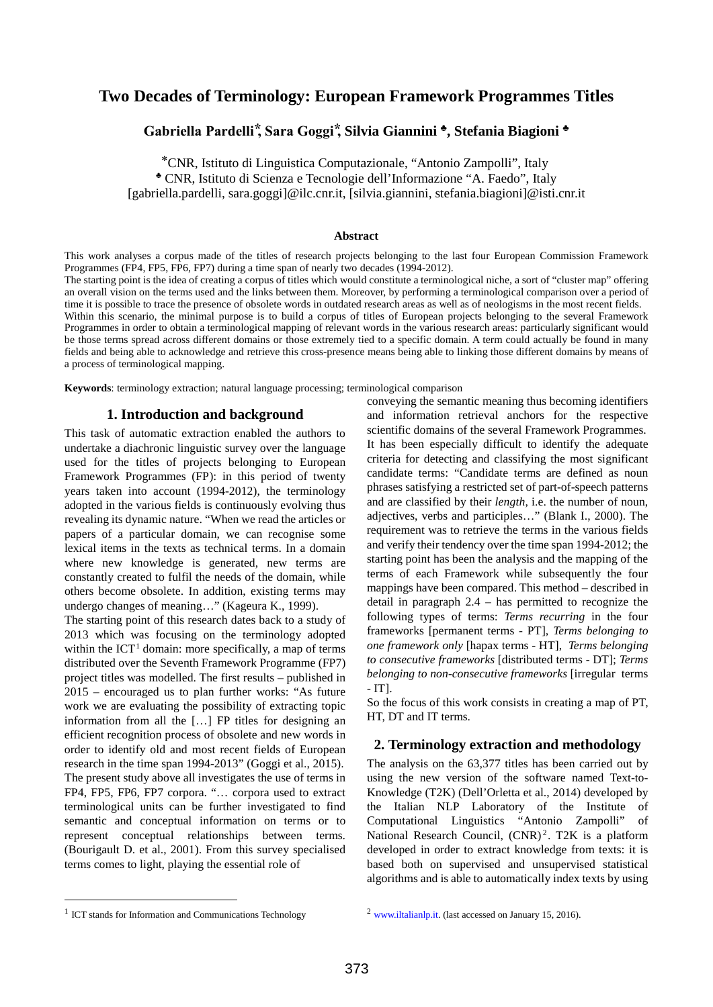# **Two Decades of Terminology: European Framework Programmes Titles**

# **Gabriella Pardelli ⃰, Sara Goggi ⃰, Silvia Giannini ♣, Stefania Biagioni ♣**

⃰CNR, Istituto di Linguistica Computazionale, "Antonio Zampolli", Italy ♣ CNR, Istituto di Scienza e Tecnologie dell'Informazione "A. Faedo", Italy [gabriella.pardelli, sara.goggi]@ilc.cnr.it, [silvia.giannini, stefania.biagioni]@isti.cnr.it

#### **Abstract**

This work analyses a corpus made of the titles of research projects belonging to the last four European Commission Framework Programmes (FP4, FP5, FP6, FP7) during a time span of nearly two decades (1994-2012). The starting point is the idea of creating a corpus of titles which would constitute a terminological niche, a sort of "cluster map" offering an overall vision on the terms used and the links between them. Moreover, by performing a terminological comparison over a period of time it is possible to trace the presence of obsolete words in outdated research areas as well as of neologisms in the most recent fields. Within this scenario, the minimal purpose is to build a corpus of titles of European projects belonging to the several Framework Programmes in order to obtain a terminological mapping of relevant words in the various research areas: particularly significant would be those terms spread across different domains or those extremely tied to a specific domain. A term could actually be found in many fields and being able to acknowledge and retrieve this cross-presence means being able to linking those different domains by means of a process of terminological mapping.

**Keywords**: terminology extraction; natural language processing; terminological comparison

### **1. Introduction and background**

This task of automatic extraction enabled the authors to undertake a diachronic linguistic survey over the language used for the titles of projects belonging to European Framework Programmes (FP): in this period of twenty years taken into account (1994-2012), the terminology adopted in the various fields is continuously evolving thus revealing its dynamic nature. "When we read the articles or papers of a particular domain, we can recognise some lexical items in the texts as technical terms. In a domain where new knowledge is generated, new terms are constantly created to fulfil the needs of the domain, while others become obsolete. In addition, existing terms may undergo changes of meaning…" (Kageura K., 1999).

The starting point of this research dates back to a study of 2013 which was focusing on the terminology adopted within the  $ICT<sup>1</sup>$  $ICT<sup>1</sup>$  $ICT<sup>1</sup>$  domain: more specifically, a map of terms distributed over the Seventh Framework Programme (FP7) project titles was modelled. The first results – published in 2015 – encouraged us to plan further works: "As future work we are evaluating the possibility of extracting topic information from all the […] FP titles for designing an efficient recognition process of obsolete and new words in order to identify old and most recent fields of European research in the time span 1994-2013" (Goggi et al., 2015). The present study above all investigates the use of terms in FP4, FP5, FP6, FP7 corpora. "… corpora used to extract terminological units can be further investigated to find semantic and conceptual information on terms or to represent conceptual relationships between terms. (Bourigault D. et al., 2001). From this survey specialised terms comes to light, playing the essential role of

conveying the semantic meaning thus becoming identifiers and information retrieval anchors for the respective scientific domains of the several Framework Programmes. It has been especially difficult to identify the adequate criteria for detecting and classifying the most significant candidate terms: "Candidate terms are defined as noun phrases satisfying a restricted set of part-of-speech patterns and are classified by their *length*, i.e. the number of noun, adjectives, verbs and participles…" (Blank I., 2000). The requirement was to retrieve the terms in the various fields and verify their tendency over the time span 1994-2012; the starting point has been the analysis and the mapping of the terms of each Framework while subsequently the four mappings have been compared. This method – described in detail in paragraph 2.4 – has permitted to recognize the following types of terms: *Terms recurring* in the four frameworks [permanent terms - PT], *Terms belonging to one framework only* [hapax terms - HT], *Terms belonging to consecutive frameworks* [distributed terms - DT]; *Terms belonging to non-consecutive frameworks* [irregular terms - IT].

So the focus of this work consists in creating a map of PT, HT, DT and IT terms.

### **2. Terminology extraction and methodology**

The analysis on the 63,377 titles has been carried out by using the new version of the software named Text-to-Knowledge (T2K) (Dell'Orletta et al., 2014) developed by the Italian NLP Laboratory of the Institute of Computational Linguistics "Antonio Zampolli" of National Research Council,  $(CNR)^2$  $(CNR)^2$ . T2K is a platform developed in order to extract knowledge from texts: it is based both on supervised and unsupervised statistical algorithms and is able to automatically index texts by using

<span id="page-0-0"></span><sup>&</sup>lt;sup>1</sup> ICT stands for Information and Communications Technology

 $2$  [www.iltalianlp.it.](http://www.iltalianlp.it/) (last accessed on January 15, 2016).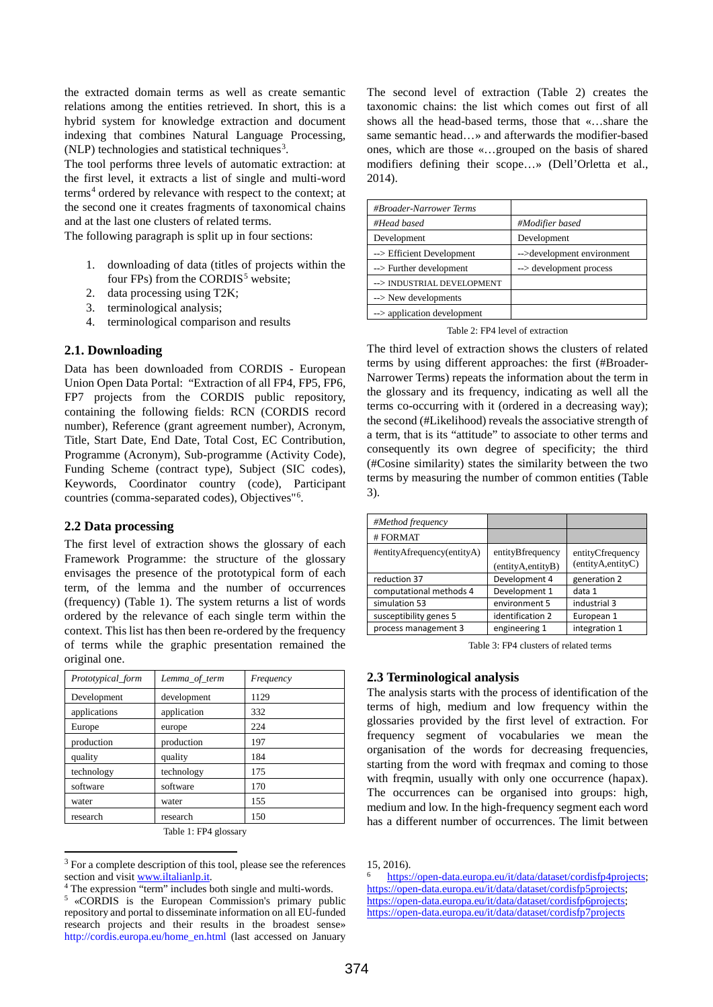the extracted domain terms as well as create semantic relations among the entities retrieved. In short, this is a hybrid system for knowledge extraction and document indexing that combines Natural Language Processing,  $(NLP)$  technologies and statistical techniques<sup>[3](#page-1-0)</sup>.

The tool performs three levels of automatic extraction: at the first level, it extracts a list of single and multi-word terms<sup>[4](#page-1-1)</sup> ordered by relevance with respect to the context; at the second one it creates fragments of taxonomical chains and at the last one clusters of related terms.

The following paragraph is split up in four sections:

- 1. downloading of data (titles of projects within the four FPs) from the CORDIS<sup>[5](#page-1-2)</sup> website:
- 2. data processing using T2K;
- 3. terminological analysis;
- 4. terminological comparison and results

# **2.1. Downloading**

Data has been downloaded from CORDIS - European Union Open Data Portal: "Extraction of all FP4, FP5, FP6, FP7 projects from the CORDIS public repository, containing the following fields: RCN (CORDIS record number), Reference (grant agreement number), Acronym, Title, Start Date, End Date, Total Cost, EC Contribution, Programme (Acronym), Sub-programme (Activity Code), Funding Scheme (contract type), Subject (SIC codes), Keywords, Coordinator country (code), Participant countries (comma-separated codes), Objectives"[6](#page-1-3) .

# **2.2 Data processing**

The first level of extraction shows the glossary of each Framework Programme: the structure of the glossary envisages the presence of the prototypical form of each term, of the lemma and the number of occurrences (frequency) (Table 1). The system returns a list of words ordered by the relevance of each single term within the context. This list has then been re-ordered by the frequency of terms while the graphic presentation remained the original one.

| Prototypical_form | Lemma_of_term | Frequency |
|-------------------|---------------|-----------|
| Development       | development   | 1129      |
| applications      | application   | 332       |
| Europe            | europe        | 224       |
| production        | production    | 197       |
| quality           | quality       | 184       |
| technology        | technology    | 175       |
| software          | software      | 170       |
| water             | water         | 155       |
| research          | research      | 150       |

Table 1: FP4 glossary

The second level of extraction (Table 2) creates the taxonomic chains: the list which comes out first of all shows all the head-based terms, those that «…share the same semantic head…» and afterwards the modifier-based ones, which are those «…grouped on the basis of shared modifiers defining their scope…» (Dell'Orletta et al., 2014).

| #Broader-Narrower Terms     |                            |
|-----------------------------|----------------------------|
| #Head based                 | #Modifier based            |
| Development                 | Development                |
| --> Efficient Development   | -->development environment |
| --> Further development     | --> development process    |
| --> INDUSTRIAL DEVELOPMENT  |                            |
| --> New developments        |                            |
| --> application development |                            |

Table 2: FP4 level of extraction

The third level of extraction shows the clusters of related terms by using different approaches: the first (#Broader-Narrower Terms) repeats the information about the term in the glossary and its frequency, indicating as well all the terms co-occurring with it (ordered in a decreasing way); the second (#Likelihood) reveals the associative strength of a term, that is its "attitude" to associate to other terms and consequently its own degree of specificity; the third (#Cosine similarity) states the similarity between the two terms by measuring the number of common entities (Table 3).

| #Method frequency          |                                       |                                       |
|----------------------------|---------------------------------------|---------------------------------------|
| #FORMAT                    |                                       |                                       |
| #entityAfrequency(entityA) | entityBfrequency<br>(entityA,entityB) | entityCfrequency<br>(entityA,entityC) |
| reduction 37               | Development 4                         | generation 2                          |
| computational methods 4    | Development 1                         | data 1                                |
| simulation 53              | environment 5                         | industrial 3                          |
| susceptibility genes 5     | identification 2                      | European 1                            |
| process management 3       | engineering 1                         | integration 1                         |

Table 3: FP4 clusters of related terms

# **2.3 Terminological analysis**

The analysis starts with the process of identification of the terms of high, medium and low frequency within the glossaries provided by the first level of extraction. For frequency segment of vocabularies we mean the organisation of the words for decreasing frequencies, starting from the word with freqmax and coming to those with freqmin, usually with only one occurrence (hapax). The occurrences can be organised into groups: high, medium and low. In the high-frequency segment each word has a different number of occurrences. The limit between

<span id="page-1-0"></span><sup>&</sup>lt;sup>3</sup> For a complete description of this tool, please see the references section and visi[t www.iltalianlp.it.](http://www.iltalianlp.it/)

<span id="page-1-3"></span><span id="page-1-1"></span><sup>&</sup>lt;sup>4</sup> The expression "term" includes both single and multi-words.

<span id="page-1-2"></span><sup>5 «</sup>CORDIS is the European Commission's primary public repository and portal to disseminate information on all EU-funded research projects and their results in the broadest sense» [http://cordis.europa.eu/home\\_en.html](http://cordis.europa.eu/home_en.html) (last accessed on January

<sup>15, 2016).</sup>

[https://open-data.europa.eu/it/data/dataset/cordisfp4projects;](https://open-data.europa.eu/it/data/dataset/cordisfp4projects) [https://open-data.europa.eu/it/data/dataset/cordisfp5projects;](https://open-data.europa.eu/it/data/dataset/cordisfp5projects) [https://open-data.europa.eu/it/data/dataset/cordisfp6projects;](https://open-data.europa.eu/it/data/dataset/cordisfp6projects) <https://open-data.europa.eu/it/data/dataset/cordisfp7projects>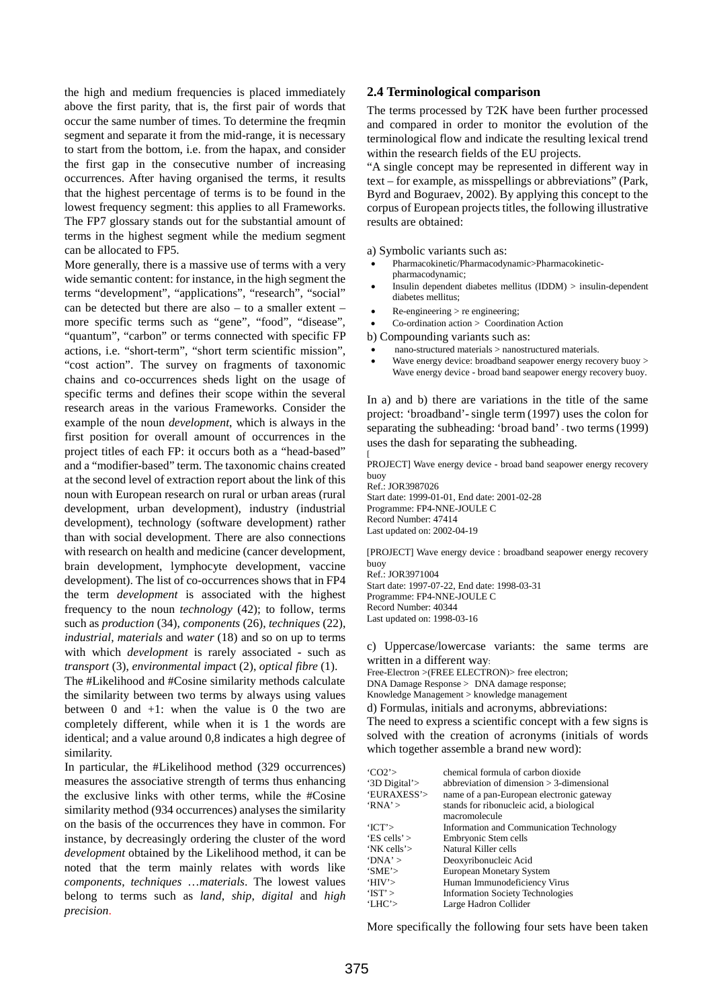the high and medium frequencies is placed immediately above the first parity, that is, the first pair of words that occur the same number of times. To determine the freqmin segment and separate it from the mid-range, it is necessary to start from the bottom, i.e. from the hapax, and consider the first gap in the consecutive number of increasing occurrences. After having organised the terms, it results that the highest percentage of terms is to be found in the lowest frequency segment: this applies to all Frameworks. The FP7 glossary stands out for the substantial amount of terms in the highest segment while the medium segment can be allocated to FP5.

More generally, there is a massive use of terms with a very wide semantic content: for instance, in the high segment the terms "development", "applications", "research", "social" can be detected but there are also – to a smaller extent – more specific terms such as "gene", "food", "disease", "quantum", "carbon" or terms connected with specific FP actions, i.e. "short-term", "short term scientific mission", "cost action". The survey on fragments of taxonomic chains and co-occurrences sheds light on the usage of specific terms and defines their scope within the several research areas in the various Frameworks. Consider the example of the noun *development*, which is always in the first position for overall amount of occurrences in the project titles of each FP: it occurs both as a "head-based" and a "modifier-based" term. The taxonomic chains created at the second level of extraction report about the link of this noun with European research on rural or urban areas (rural development, urban development), industry (industrial development), technology (software development) rather than with social development. There are also connections with research on health and medicine (cancer development, brain development, lymphocyte development, vaccine development). The list of co-occurrences shows that in FP4 the term *development* is associated with the highest frequency to the noun *technology* (42); to follow, terms such as *production* (34), *components* (26), *techniques* (22), *industrial*, *materials* and *water* (18) and so on up to terms with which *development* is rarely associated - such as *transport* (3), *environmental impac*t (2), *optical fibre* (1).

The #Likelihood and #Cosine similarity methods calculate the similarity between two terms by always using values between  $0$  and  $+1$ : when the value is  $0$  the two are completely different, while when it is 1 the words are identical; and a value around 0,8 indicates a high degree of similarity.

In particular, the #Likelihood method (329 occurrences) measures the associative strength of terms thus enhancing the exclusive links with other terms, while the #Cosine similarity method (934 occurrences) analyses the similarity on the basis of the occurrences they have in common. For instance, by decreasingly ordering the cluster of the word *development* obtained by the Likelihood method, it can be noted that the term mainly relates with words like *components*, *techniques* …*materials*. The lowest values belong to terms such as *land*, *ship*, *digital* and *high precision*.

#### **2.4 Terminological comparison**

The terms processed by T2K have been further processed and compared in order to monitor the evolution of the terminological flow and indicate the resulting lexical trend within the research fields of the EU projects.

"A single concept may be represented in different way in text – for example, as misspellings or abbreviations" (Park, Byrd and Boguraev, 2002). By applying this concept to the corpus of European projects titles, the following illustrative results are obtained:

a) Symbolic variants such as:

- Pharmacokinetic/Pharmacodynamic>Pharmacokineticpharmacodynamic;
- Insulin dependent diabetes mellitus (IDDM) > insulin-dependent diabetes mellitus;
- Re-engineering > re engineering;
- Co-ordination action > Coordination Action

b) Compounding variants such as:

- nano-structured materials > nanostructured materials.
- Wave energy device: broadband seapower energy recovery buoy > Wave energy device - broad band seapower energy recovery buoy.

In a) and b) there are variations in the title of the same project: 'broadband'-single term (1997) uses the colon for separating the subheading: 'broad band' - two terms(1999) uses the dash for separating the subheading.

[ PROJECT] Wave energy device - broad band seapower energy recovery buoy Ref.: JOR3987026 Start date: 1999-01-01, End date: 2001-02-28

Programme: FP4-NNE-JOULE C Record Number: 47414 Last updated on: 2002-04-19

[PROJECT] Wave energy device : broadband seapower energy recovery buoy Ref.: JOR3971004

Start date: 1997-07-22, End date: 1998-03-31 Programme: FP4-NNE-JOULE C Record Number: 40344 Last updated on: 1998-03-16

c) Uppercase/lowercase variants: the same terms are written in a different way:

Free-Electron >(FREE ELECTRON)> free electron; DNA Damage Response > DNA damage response; Knowledge Management > knowledge management

d) Formulas, initials and acronyms, abbreviations: The need to express a scientific concept with a few signs is solved with the creation of acronyms (initials of words which together assemble a brand new word):

| 'CO2'          | chemical formula of carbon dioxide          |
|----------------|---------------------------------------------|
| '3D Digital'>  | abbreviation of dimension $>$ 3-dimensional |
| 'EURAXESS'>    | name of a pan-European electronic gateway   |
| RNA'           | stands for ribonucleic acid, a biological   |
|                | macromolecule                               |
| TCT            | Information and Communication Technology    |
| 'ES cells' $>$ | Embryonic Stem cells                        |
| 'NK cells'>    | Natural Killer cells                        |
| ' $DNA'$ >     | Deoxyribonucleic Acid                       |
| 'SME'>         | European Monetary System                    |
| 'HIV'          | Human Immunodeficiency Virus                |
| 'IST'          | <b>Information Society Technologies</b>     |
| 'LHC'>         | Large Hadron Collider                       |

More specifically the following four sets have been taken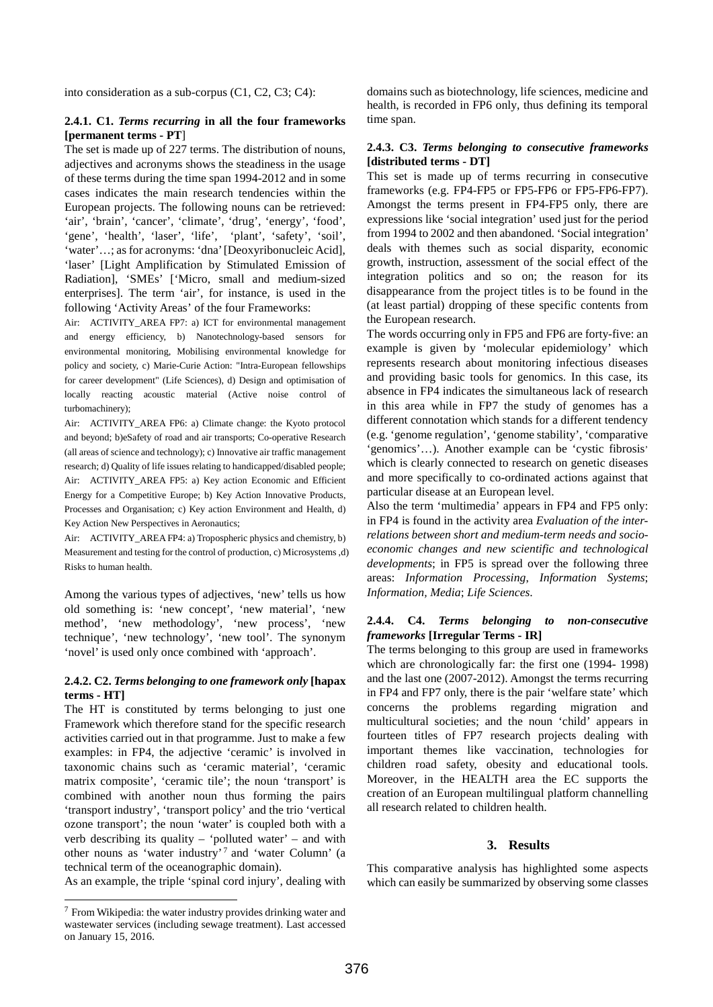into consideration as a sub-corpus (C1, C2, C3; C4):

#### **2.4.1. C1.** *Terms recurring* **in all the four frameworks [permanent terms - PT**]

The set is made up of 227 terms. The distribution of nouns, adjectives and acronyms shows the steadiness in the usage of these terms during the time span 1994-2012 and in some cases indicates the main research tendencies within the European projects. The following nouns can be retrieved: 'air', 'brain', 'cancer', 'climate', 'drug', 'energy', 'food', 'gene', 'health', 'laser', 'life', 'plant', 'safety', 'soil', 'water'…; as for acronyms: 'dna' [Deoxyribonucleic Acid], 'laser' [Light Amplification by Stimulated Emission of Radiation], 'SMEs' ['Micro, small and medium-sized enterprises]. The term 'air', for instance, is used in the following 'Activity Areas' of the four Frameworks:

Air: ACTIVITY\_AREA FP7: a) ICT for environmental management and energy efficiency, b) Nanotechnology-based sensors for environmental monitoring, Mobilising environmental knowledge for policy and society, c) Marie-Curie Action: "Intra-European fellowships for career development" (Life Sciences), d) Design and optimisation of locally reacting acoustic material (Active noise control of turbomachinery);

Air: ACTIVITY\_AREA FP6: a) Climate change: the Kyoto protocol and beyond; b)eSafety of road and air transports; Co-operative Research (all areas of science and technology); c) Innovative air traffic management research; d) Quality of life issues relating to handicapped/disabled people; Air: ACTIVITY\_AREA FP5: a) Key action Economic and Efficient Energy for a Competitive Europe; b) Key Action Innovative Products, Processes and Organisation; c) Key action Environment and Health, d) Key Action New Perspectives in Aeronautics;

Air: ACTIVITY\_AREA FP4: a) Tropospheric physics and chemistry, b) Measurement and testing for the control of production, c) Microsystems ,d) Risks to human health.

Among the various types of adjectives, 'new' tells us how old something is: 'new concept', 'new material', 'new method', 'new methodology', 'new process', 'new technique', 'new technology', 'new tool'. The synonym 'novel' is used only once combined with 'approach'.

### **2.4.2. C2.** *Terms belonging to one framework only* **[hapax terms - HT]**

The HT is constituted by terms belonging to just one Framework which therefore stand for the specific research activities carried out in that programme. Just to make a few examples: in FP4, the adjective 'ceramic' is involved in taxonomic chains such as 'ceramic material', 'ceramic matrix composite', 'ceramic tile'; the noun 'transport' is combined with another noun thus forming the pairs 'transport industry', 'transport policy' and the trio 'vertical ozone transport'; the noun 'water' is coupled both with a verb describing its quality – 'polluted water' – and with other nouns as 'water industry'<sup>[7](#page-3-0)</sup> and 'water Column' (a technical term of the oceanographic domain).

As an example, the triple 'spinal cord injury', dealing with

domains such as biotechnology, life sciences, medicine and health, is recorded in FP6 only, thus defining its temporal time span.

# **2.4.3. C3.** *Terms belonging to consecutive frameworks* **[distributed terms - DT]**

This set is made up of terms recurring in consecutive frameworks (e.g. FP4-FP5 or FP5-FP6 or FP5-FP6-FP7). Amongst the terms present in FP4-FP5 only, there are expressions like 'social integration' used just for the period from 1994 to 2002 and then abandoned. 'Social integration' deals with themes such as social disparity, economic growth, instruction, assessment of the social effect of the integration politics and so on; the reason for its disappearance from the project titles is to be found in the (at least partial) dropping of these specific contents from the European research.

The words occurring only in FP5 and FP6 are forty-five: an example is given by 'molecular epidemiology' which represents research about monitoring infectious diseases and providing basic tools for genomics. In this case, its absence in FP4 indicates the simultaneous lack of research in this area while in FP7 the study of genomes has a different connotation which stands for a different tendency (e.g. 'genome regulation', 'genome stability', 'comparative 'genomics'…). Another example can be 'cystic fibrosis' which is clearly connected to research on genetic diseases and more specifically to co-ordinated actions against that particular disease at an European level.

Also the term 'multimedia' appears in FP4 and FP5 only: in FP4 is found in the activity area *Evaluation of the interrelations between short and medium-term needs and socioeconomic changes and new scientific and technological developments*; in FP5 is spread over the following three areas: *Information Processing*, *Information Systems*; *Information, Media*; *Life Sciences*.

### **2.4.4. C4.** *Terms belonging to non-consecutive frameworks* **[Irregular Terms - IR]**

The terms belonging to this group are used in frameworks which are chronologically far: the first one (1994- 1998) and the last one (2007-2012). Amongst the terms recurring in FP4 and FP7 only, there is the pair 'welfare state' which concerns the problems regarding migration and multicultural societies; and the noun 'child' appears in fourteen titles of FP7 research projects dealing with important themes like vaccination, technologies for children road safety, obesity and educational tools. Moreover, in the HEALTH area the EC supports the creation of an European multilingual platform channelling all research related to children health.

#### **3. Results**

This comparative analysis has highlighted some aspects which can easily be summarized by observing some classes

<span id="page-3-0"></span> $7$  From Wikipedia: the water industry provide[s drinking water](https://en.wikipedia.org/wiki/Drinking_water) and [wastewater](https://en.wikipedia.org/wiki/Wastewater) services (including [sewage treatment\)](https://en.wikipedia.org/wiki/Sewage_treatment). Last accessed on January 15, 2016.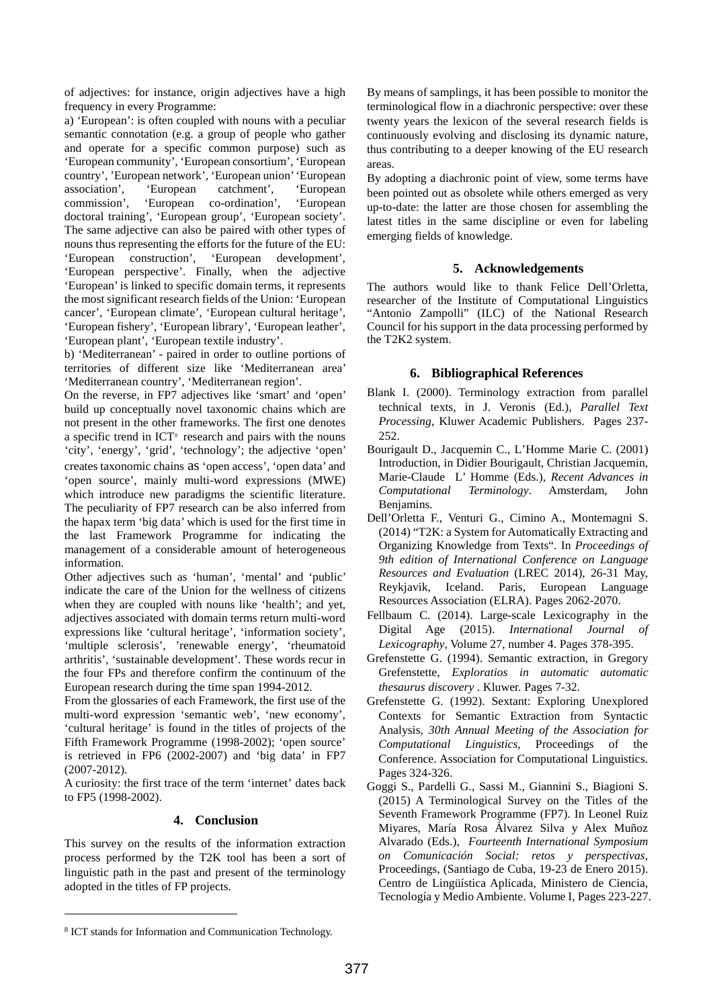of adjectives: for instance, origin adjectives have a high frequency in every Programme:

a) 'European': is often coupled with nouns with a peculiar semantic connotation (e.g. a group of people who gather and operate for a specific common purpose) such as 'European community', 'European consortium', 'European country', 'European network', 'European union' 'European association', 'European catchment', 'European association'. commission', 'European co-ordination', 'European doctoral training', 'European group', 'European society'. The same adjective can also be paired with other types of nouns thus representing the efforts for the future of the EU: 'European construction', 'European development', 'European perspective'. Finally, when the adjective 'European' is linked to specific domain terms, it represents the most significant research fields of the Union: 'European cancer', 'European climate', 'European cultural heritage', 'European fishery', 'European library', 'European leather', 'European plant', 'European textile industry'.

b) 'Mediterranean' - paired in order to outline portions of territories of different size like 'Mediterranean area' 'Mediterranean country', 'Mediterranean region'.

On the reverse, in FP7 adjectives like 'smart' and 'open' build up conceptually novel taxonomic chains which are not present in the other frameworks. The first one denotes a specific trend in ICT<sup>[8](#page-4-0)</sup> research and pairs with the nouns 'city', 'energy', 'grid', 'technology'; the adjective 'open' creates taxonomic chains as 'open access', 'open data' and 'open source', mainly multi-word expressions (MWE) which introduce new paradigms the scientific literature. The peculiarity of FP7 research can be also inferred from the hapax term 'big data' which is used for the first time in the last Framework Programme for indicating the management of a considerable amount of heterogeneous information.

Other adjectives such as 'human', 'mental' and 'public' indicate the care of the Union for the wellness of citizens when they are coupled with nouns like 'health'; and yet, adjectives associated with domain terms return multi-word expressions like 'cultural heritage', 'information society', 'multiple sclerosis', 'renewable energy', 'rheumatoid arthritis', 'sustainable development'. These words recur in the four FPs and therefore confirm the continuum of the European research during the time span 1994-2012.

From the glossaries of each Framework, the first use of the multi-word expression 'semantic web', 'new economy', 'cultural heritage' is found in the titles of projects of the Fifth Framework Programme (1998-2002); 'open source' is retrieved in FP6 (2002-2007) and 'big data' in FP7 (2007-2012).

A curiosity: the first trace of the term 'internet' dates back to FP5 (1998-2002).

### **4. Conclusion**

This survey on the results of the information extraction process performed by the T2K tool has been a sort of linguistic path in the past and present of the terminology adopted in the titles of FP projects.

By means of samplings, it has been possible to monitor the terminological flow in a diachronic perspective: over these twenty years the lexicon of the several research fields is continuously evolving and disclosing its dynamic nature, thus contributing to a deeper knowing of the EU research areas.

By adopting a diachronic point of view, some terms have been pointed out as obsolete while others emerged as very up-to-date: the latter are those chosen for assembling the latest titles in the same discipline or even for labeling emerging fields of knowledge.

# **5. Acknowledgements**

The authors would like to thank Felice Dell'Orletta, researcher of the Institute of Computational Linguistics "Antonio Zampolli" (ILC) of the National Research Council for his support in the data processing performed by the T2K2 system.

# **6. Bibliographical References**

- Blank I. (2000). Terminology extraction from parallel technical texts, in J. Veronis (Ed.), *Parallel Text Processing*, Kluwer Academic Publishers. Pages 237- 252.
- Bourigault D., Jacquemin C., L'Homme Marie C. (2001) Introduction, in Didier Bourigault, Christian Jacquemin, Marie-Claude L' Homme (Eds.), *Recent Advances in Computational Terminology*. Amsterdam, John Benjamins.
- Dell'Orletta F., Venturi G., Cimino A., Montemagni S. (2014) "T2K: a System for Automatically Extracting and Organizing Knowledge from Texts". In *Proceedings of 9th edition of International Conference on Language Resources and Evaluation* (LREC 2014), 26-31 May, Reykjavik, Iceland. Paris, European Language Resources Association (ELRA). Pages 2062-2070.
- Fellbaum C. (2014). Large-scale Lexicography in the Digital Age (2015). *International Journal of Lexicography*, Volume 27, number 4. Pages 378-395.
- Grefenstette G. (1994). Semantic extraction, in Gregory Grefenstette, *Exploratios in automatic automatic thesaurus discovery* . Kluwer. Pages 7-32.
- Grefenstette G. (1992). Sextant: Exploring Unexplored Contexts for Semantic Extraction from Syntactic Analysis, *30th Annual Meeting of the Association for Computational Linguistics*, Proceedings of the Conference. Association for Computational Linguistics. Pages 324-326.
- Goggi S., Pardelli G., Sassi M., Giannini S., Biagioni S. (2015) A Terminological Survey on the Titles of the Seventh Framework Programme (FP7). In Leonel Ruiz Miyares, María Rosa Álvarez Silva y Alex Muñoz Alvarado (Eds.), *Fourteenth International Symposium on Comunicación Social: retos y perspectivas*, Proceedings, (Santiago de Cuba, 19-23 de Enero 2015). Centro de Lingüística Aplicada, Ministero de Ciencia, Tecnología y Medio Ambiente. Volume I, Pages 223-227.

 $\overline{a}$ 

<span id="page-4-0"></span><sup>8</sup> ICT stands for Information and Communication Technology.